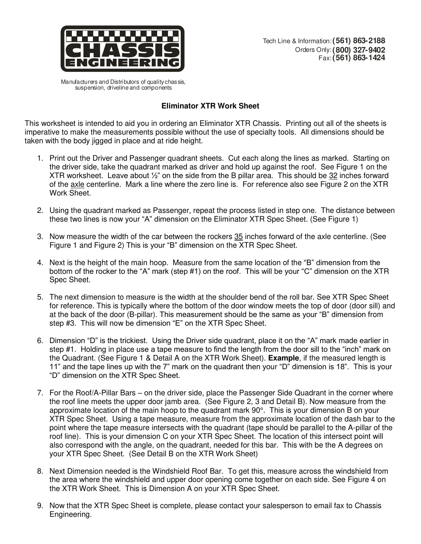

Manufacturers and Distributors of quality chassis, suspension, driveline and components

## **Eliminator XTR Work Sheet**

This worksheet is intended to aid you in ordering an Eliminator XTR Chassis. Printing out all of the sheets is imperative to make the measurements possible without the use of specialty tools. All dimensions should be taken with the body jigged in place and at ride height.

- 1. Print out the Driver and Passenger quadrant sheets. Cut each along the lines as marked. Starting on the driver side, take the quadrant marked as driver and hold up against the roof. See Figure 1 on the XTR worksheet. Leave about  $\frac{1}{2}$ " on the side from the B pillar area. This should be 32 inches forward of the axle centerline. Mark a line where the zero line is. For reference also see Figure 2 on the XTR Work Sheet.
- 2. Using the quadrant marked as Passenger, repeat the process listed in step one. The distance between these two lines is now your "A" dimension on the Eliminator XTR Spec Sheet. (See Figure 1)
- 3. Now measure the width of the car between the rockers 35 inches forward of the axle centerline. (See Figure 1 and Figure 2) This is your "B" dimension on the XTR Spec Sheet.
- 4. Next is the height of the main hoop. Measure from the same location of the "B" dimension from the bottom of the rocker to the "A" mark (step #1) on the roof. This will be your "C" dimension on the XTR Spec Sheet.
- 5. The next dimension to measure is the width at the shoulder bend of the roll bar. See XTR Spec Sheet for reference. This is typically where the bottom of the door window meets the top of door (door sill) and at the back of the door (B-pillar). This measurement should be the same as your "B" dimension from step #3. This will now be dimension "E" on the XTR Spec Sheet.
- 6. Dimension "D" is the trickiest. Using the Driver side quadrant, place it on the "A" mark made earlier in step #1. Holding in place use a tape measure to find the length from the door sill to the "inch" mark on the Quadrant. (See Figure 1 & Detail A on the XTR Work Sheet). **Example**, if the measured length is 11" and the tape lines up with the 7" mark on the quadrant then your "D" dimension is 18". This is your "D" dimension on the XTR Spec Sheet.
- 7. For the Roof/A-Pillar Bars on the driver side, place the Passenger Side Quadrant in the corner where the roof line meets the upper door jamb area. (See Figure 2, 3 and Detail B). Now measure from the approximate location of the main hoop to the quadrant mark 90°. This is your dimension B on your XTR Spec Sheet. Using a tape measure, measure from the approximate location of the dash bar to the point where the tape measure intersects with the quadrant (tape should be parallel to the A-pillar of the roof line). This is your dimension C on your XTR Spec Sheet. The location of this intersect point will also correspond with the angle, on the quadrant, needed for this bar. This with be the A degrees on your XTR Spec Sheet. (See Detail B on the XTR Work Sheet)
- 8. Next Dimension needed is the Windshield Roof Bar. To get this, measure across the windshield from the area where the windshield and upper door opening come together on each side. See Figure 4 on the XTR Work Sheet. This is Dimension A on your XTR Spec Sheet.
- 9. Now that the XTR Spec Sheet is complete, please contact your salesperson to email fax to Chassis Engineering.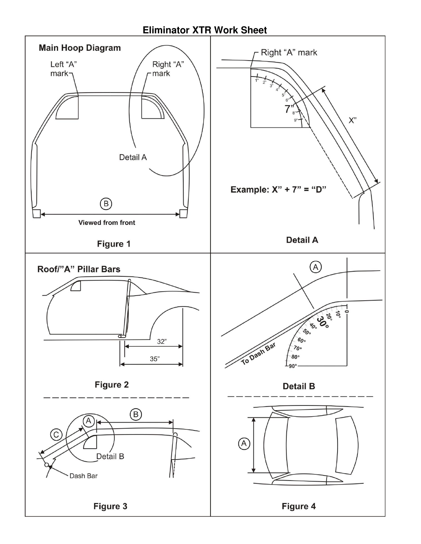## **Eliminator XTR Work Sheet**

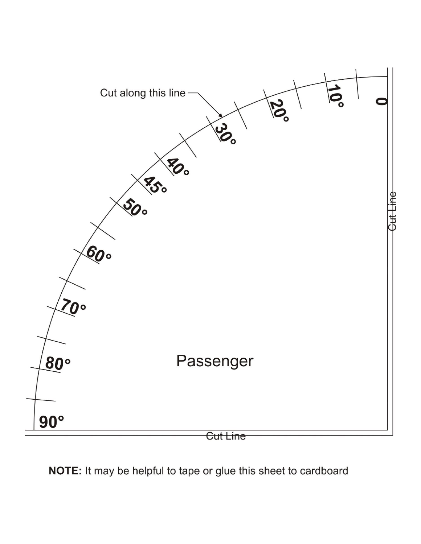

NOTE: It may be helpful to tape or glue this sheet to cardboard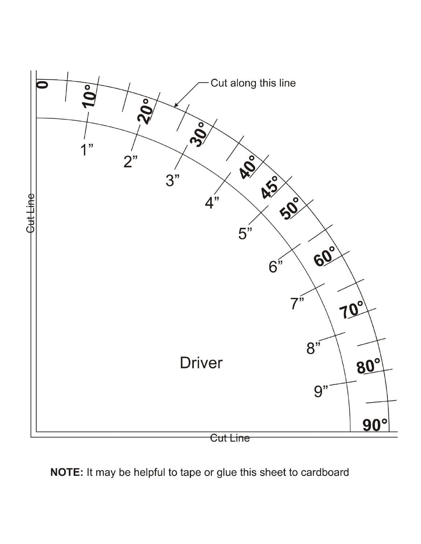

NOTE: It may be helpful to tape or glue this sheet to cardboard